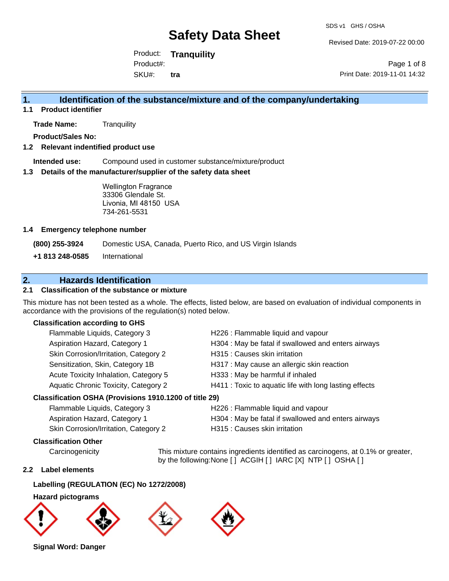Revised Date: 2019-07-22 00:00

Product: **Tranquility**  SKU#: Product#: **tra**

Page 1 of 8 Print Date: 2019-11-01 14:32

### **1. Identification of the substance/mixture and of the company/undertaking**

**1.1 Product identifier**

**Trade Name:** Tranquility

**Product/Sales No:**

#### **1.2 Relevant indentified product use**

**Intended use:** Compound used in customer substance/mixture/product

#### **1.3 Details of the manufacturer/supplier of the safety data sheet**

Wellington Fragrance 33306 Glendale St. Livonia, MI 48150 USA 734-261-5531

#### **1.4 Emergency telephone number**

**(800) 255-3924** Domestic USA, Canada, Puerto Rico, and US Virgin Islands

**+1 813 248-0585** International

### **2. Hazards Identification**

#### **2.1 Classification of the substance or mixture**

This mixture has not been tested as a whole. The effects, listed below, are based on evaluation of individual components in accordance with the provisions of the regulation(s) noted below.

#### **Classification according to GHS**

| Flammable Liquids, Category 3                          | H226 : Flammable liquid and vapour                     |
|--------------------------------------------------------|--------------------------------------------------------|
| Aspiration Hazard, Category 1                          | H304 : May be fatal if swallowed and enters airways    |
| Skin Corrosion/Irritation, Category 2                  | H315 : Causes skin irritation                          |
| Sensitization, Skin, Category 1B                       | H317 : May cause an allergic skin reaction             |
| Acute Toxicity Inhalation, Category 5                  | H333: May be harmful if inhaled                        |
| Aquatic Chronic Toxicity, Category 2                   | H411 : Toxic to aquatic life with long lasting effects |
| Classification OSHA (Provisions 1910.1200 of title 29) |                                                        |
| Elammable Liquide Category 3                           | H226 · Flammable liquid and vanour                     |

| i lalillilable Liyulus, Calegory 3    | <u>I IZZO. I lalillilable liquid aliu vapodi</u>    |
|---------------------------------------|-----------------------------------------------------|
| Aspiration Hazard, Category 1         | H304 : May be fatal if swallowed and enters airways |
| Skin Corrosion/Irritation, Category 2 | H315 : Causes skin irritation                       |
|                                       |                                                     |

#### **Classification Other**

Carcinogenicity This mixture contains ingredients identified as carcinogens, at 0.1% or greater, by the following:None [ ] ACGIH [ ] IARC [X] NTP [ ] OSHA [ ]

#### **2.2 Label elements**

#### **Labelling (REGULATION (EC) No 1272/2008)**

**Hazard pictograms**



**Signal Word: Danger**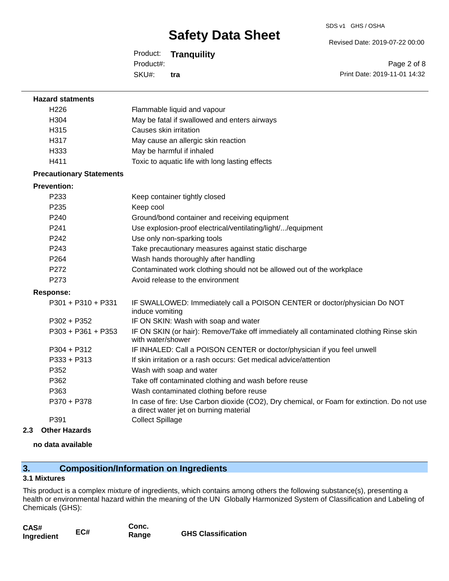Revised Date: 2019-07-22 00:00

Product: **Tranquility**  SKU#: Product#: **tra**

Page 2 of 8 Print Date: 2019-11-01 14:32

| <b>Hazard statments</b>         |                                                                                                                                       |
|---------------------------------|---------------------------------------------------------------------------------------------------------------------------------------|
| H <sub>226</sub>                | Flammable liquid and vapour                                                                                                           |
| H304                            | May be fatal if swallowed and enters airways                                                                                          |
| H315                            | Causes skin irritation                                                                                                                |
| H317                            | May cause an allergic skin reaction                                                                                                   |
| H333                            | May be harmful if inhaled                                                                                                             |
| H411                            | Toxic to aquatic life with long lasting effects                                                                                       |
| <b>Precautionary Statements</b> |                                                                                                                                       |
| <b>Prevention:</b>              |                                                                                                                                       |
| P233                            | Keep container tightly closed                                                                                                         |
| P235                            | Keep cool                                                                                                                             |
| P <sub>240</sub>                | Ground/bond container and receiving equipment                                                                                         |
| P <sub>241</sub>                | Use explosion-proof electrical/ventilating/light//equipment                                                                           |
| P242                            | Use only non-sparking tools                                                                                                           |
| P <sub>243</sub>                | Take precautionary measures against static discharge                                                                                  |
| P264                            | Wash hands thoroughly after handling                                                                                                  |
| P272                            | Contaminated work clothing should not be allowed out of the workplace                                                                 |
| P273                            | Avoid release to the environment                                                                                                      |
| <b>Response:</b>                |                                                                                                                                       |
| P301 + P310 + P331              | IF SWALLOWED: Immediately call a POISON CENTER or doctor/physician Do NOT<br>induce vomiting                                          |
| $P302 + P352$                   | IF ON SKIN: Wash with soap and water                                                                                                  |
| P303 + P361 + P353              | IF ON SKIN (or hair): Remove/Take off immediately all contaminated clothing Rinse skin<br>with water/shower                           |
| $P304 + P312$                   | IF INHALED: Call a POISON CENTER or doctor/physician if you feel unwell                                                               |
| P333 + P313                     | If skin irritation or a rash occurs: Get medical advice/attention                                                                     |
| P352                            | Wash with soap and water                                                                                                              |
| P362                            | Take off contaminated clothing and wash before reuse                                                                                  |
| P363                            | Wash contaminated clothing before reuse                                                                                               |
| P370 + P378                     | In case of fire: Use Carbon dioxide (CO2), Dry chemical, or Foam for extinction. Do not use<br>a direct water jet on burning material |
| P391                            | <b>Collect Spillage</b>                                                                                                               |
| 2.3<br><b>Other Hazards</b>     |                                                                                                                                       |

**no data available**

## **3. Composition/Information on Ingredients**

#### **3.1 Mixtures**

This product is a complex mixture of ingredients, which contains among others the following substance(s), presenting a health or environmental hazard within the meaning of the UN Globally Harmonized System of Classification and Labeling of Chemicals (GHS):

| CAS#       |     | Conc. |                           |
|------------|-----|-------|---------------------------|
| Ingredient | EC# | Range | <b>GHS Classification</b> |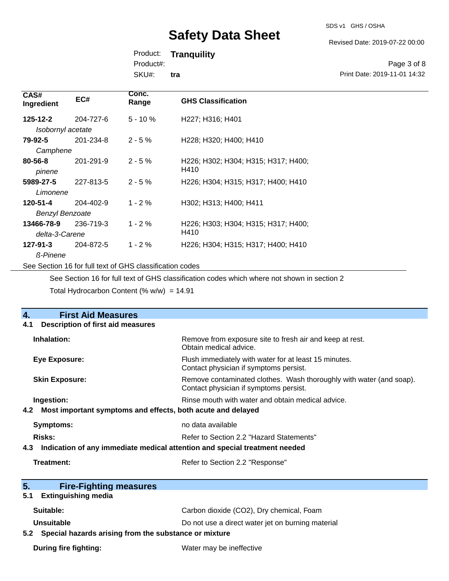SDS v1 GHS / OSHA

Revised Date: 2019-07-22 00:00

Print Date: 2019-11-01 14:32

Page 3 of 8

Product: **Tranquility** 

Product#:

SKU#: **tra**

| CAS#<br>Ingredient      | EC#       | Conc.<br>Range                                           | <b>GHS Classification</b>                   |
|-------------------------|-----------|----------------------------------------------------------|---------------------------------------------|
| $125 - 12 - 2$          | 204-727-6 | $5 - 10 \%$                                              | H227; H316; H401                            |
| Isobornyl acetate       |           |                                                          |                                             |
| 79-92-5                 | 201-234-8 | $2 - 5%$                                                 | H228; H320; H400; H410                      |
| Camphene                |           |                                                          |                                             |
| $80 - 56 - 8$<br>pinene | 201-291-9 | $2 - 5%$                                                 | H226; H302; H304; H315; H317; H400;<br>H410 |
| 5989-27-5               | 227-813-5 | $2 - 5%$                                                 | H226; H304; H315; H317; H400; H410          |
| Limonene                |           |                                                          |                                             |
| 120-51-4                | 204-402-9 | $1 - 2 \%$                                               | H302: H313: H400: H411                      |
| <b>Benzyl Benzoate</b>  |           |                                                          |                                             |
| 13466-78-9              | 236-719-3 | $1 - 2%$                                                 | H226; H303; H304; H315; H317; H400;         |
| delta-3-Carene          |           |                                                          | H410                                        |
| $127 - 91 - 3$          | 204-872-5 | $1 - 2%$                                                 | H226; H304; H315; H317; H400; H410          |
| <b>ß-Pinene</b>         |           |                                                          |                                             |
|                         |           | See Section 16 for full text of GHS classification codes |                                             |

See Section 16 for full text of GHS classification codes which where not shown in section 2

Total Hydrocarbon Content (%  $w/w$ ) = 14.91

| 4.<br><b>First Aid Measures</b>                                                   |                                                                                                               |  |
|-----------------------------------------------------------------------------------|---------------------------------------------------------------------------------------------------------------|--|
| <b>Description of first aid measures</b><br>4.1                                   |                                                                                                               |  |
| Inhalation:                                                                       | Remove from exposure site to fresh air and keep at rest.<br>Obtain medical advice.                            |  |
| <b>Eye Exposure:</b>                                                              | Flush immediately with water for at least 15 minutes.<br>Contact physician if symptoms persist.               |  |
| <b>Skin Exposure:</b>                                                             | Remove contaminated clothes. Wash thoroughly with water (and soap).<br>Contact physician if symptoms persist. |  |
| Ingestion:                                                                        | Rinse mouth with water and obtain medical advice.                                                             |  |
| Most important symptoms and effects, both acute and delayed<br>4.2                |                                                                                                               |  |
| <b>Symptoms:</b>                                                                  | no data available                                                                                             |  |
| <b>Risks:</b><br>Refer to Section 2.2 "Hazard Statements"                         |                                                                                                               |  |
| Indication of any immediate medical attention and special treatment needed<br>4.3 |                                                                                                               |  |
| Treatment:                                                                        | Refer to Section 2.2 "Response"                                                                               |  |
| 5.<br><b>Fire-Fighting measures</b>                                               |                                                                                                               |  |
| <b>Extinguishing media</b><br>5.1                                                 |                                                                                                               |  |
| Suitable:                                                                         | Carbon dioxide (CO2), Dry chemical, Foam                                                                      |  |
| Unsuitable                                                                        | Do not use a direct water jet on burning material                                                             |  |
| Special hazards arising from the substance or mixture<br>5.2                      |                                                                                                               |  |
| <b>During fire fighting:</b>                                                      | Water may be ineffective                                                                                      |  |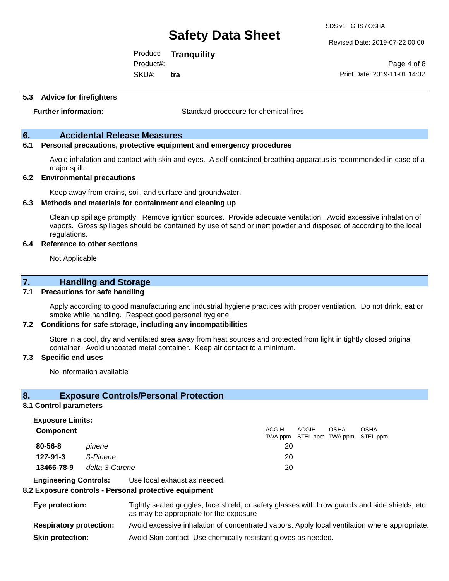Revised Date: 2019-07-22 00:00

Product: **Tranquility**  SKU#: Product#: **tra**

Page 4 of 8 Print Date: 2019-11-01 14:32

#### **5.3 Advice for firefighters**

**Further information:** Standard procedure for chemical fires

#### **6. Accidental Release Measures**

#### **6.1 Personal precautions, protective equipment and emergency procedures**

Avoid inhalation and contact with skin and eyes. A self-contained breathing apparatus is recommended in case of a major spill.

#### **6.2 Environmental precautions**

Keep away from drains, soil, and surface and groundwater.

#### **6.3 Methods and materials for containment and cleaning up**

Clean up spillage promptly. Remove ignition sources. Provide adequate ventilation. Avoid excessive inhalation of vapors. Gross spillages should be contained by use of sand or inert powder and disposed of according to the local regulations.

#### **6.4 Reference to other sections**

Not Applicable

#### **7. Handling and Storage**

#### **7.1 Precautions for safe handling**

Apply according to good manufacturing and industrial hygiene practices with proper ventilation. Do not drink, eat or smoke while handling. Respect good personal hygiene.

#### **7.2 Conditions for safe storage, including any incompatibilities**

Store in a cool, dry and ventilated area away from heat sources and protected from light in tightly closed original container. Avoid uncoated metal container. Keep air contact to a minimum.

 $A$ COH

 $\sim$ 

 $\sim$ 

#### **7.3 Specific end uses**

No information available

#### **8. Exposure Controls/Personal Protection**

#### **8.1 Control parameters**

**Exposure Limits:**

| <b>Component</b> |                | ACGIH | ACGIH                             | <b>OSHA</b> | OSHA |
|------------------|----------------|-------|-----------------------------------|-------------|------|
|                  |                |       | TWA ppm STEL ppm TWA ppm STEL ppm |             |      |
| $80 - 56 - 8$    | pinene         | 20    |                                   |             |      |
| 127-91-3         | ß-Pinene       | 20    |                                   |             |      |
| 13466-78-9       | delta-3-Carene | 20    |                                   |             |      |

**Engineering Controls:** Use local exhaust as needed.

#### **8.2 Exposure controls - Personal protective equipment**

| Eye protection:                | Tightly sealed goggles, face shield, or safety glasses with brow guards and side shields, etc.<br>as may be appropriate for the exposure |
|--------------------------------|------------------------------------------------------------------------------------------------------------------------------------------|
| <b>Respiratory protection:</b> | Avoid excessive inhalation of concentrated vapors. Apply local ventilation where appropriate.                                            |
| <b>Skin protection:</b>        | Avoid Skin contact. Use chemically resistant gloves as needed.                                                                           |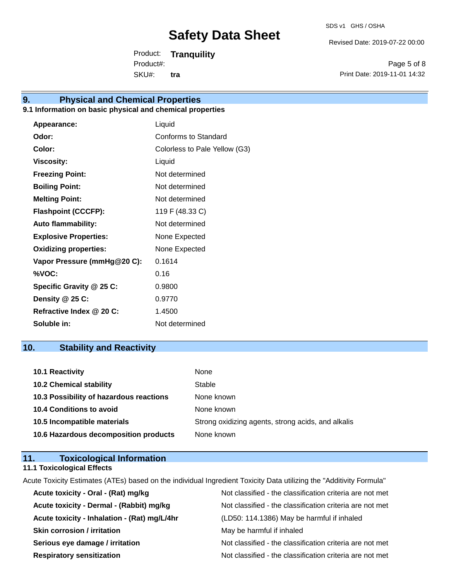Revised Date: 2019-07-22 00:00

Product: **Tranquility**  SKU#: Product#: **tra**

Page 5 of 8 Print Date: 2019-11-01 14:32

### **9. Physical and Chemical Properties**

#### **9.1 Information on basic physical and chemical properties**

| Appearance:                  | Liquid                        |
|------------------------------|-------------------------------|
| Odor:                        | Conforms to Standard          |
| Color:                       | Colorless to Pale Yellow (G3) |
| <b>Viscosity:</b>            | Liquid                        |
| <b>Freezing Point:</b>       | Not determined                |
| <b>Boiling Point:</b>        | Not determined                |
| <b>Melting Point:</b>        | Not determined                |
| <b>Flashpoint (CCCFP):</b>   | 119 F (48.33 C)               |
| <b>Auto flammability:</b>    | Not determined                |
| <b>Explosive Properties:</b> | None Expected                 |
| <b>Oxidizing properties:</b> | None Expected                 |
| Vapor Pressure (mmHg@20 C):  | 0.1614                        |
| %VOC:                        | 0.16                          |
| Specific Gravity @ 25 C:     | 0.9800                        |
| Density @ 25 C:              | 0.9770                        |
| Refractive Index @ 20 C:     | 1.4500                        |
| Soluble in:                  | Not determined                |

### **10. Stability and Reactivity**

| 10.1 Reactivity                         | None                                               |
|-----------------------------------------|----------------------------------------------------|
| <b>10.2 Chemical stability</b>          | Stable                                             |
| 10.3 Possibility of hazardous reactions | None known                                         |
| <b>10.4 Conditions to avoid</b>         | None known                                         |
| 10.5 Incompatible materials             | Strong oxidizing agents, strong acids, and alkalis |
| 10.6 Hazardous decomposition products   | None known                                         |

#### **11. Toxicological Information 11.1 Toxicological Effects**

Acute Toxicity Estimates (ATEs) based on the individual Ingredient Toxicity Data utilizing the "Additivity Formula" Acute toxicity - Oral - (Rat) mg/kg<br>
Not classified - the classification criteria are not met **Acute toxicity - Dermal - (Rabbit) mg/kg Not classified - the classification criteria are not met controlled by Not classified - the classification criteria are not met Acute toxicity - Inhalation - (Rat) mg/L/4hr** (LD50: 114.1386) May be harmful if inhaled **Skin corrosion / irritation** May be harmful if inhaled **Serious eye damage / irritation** Not classified - the classification criteria are not met **Respiratory sensitization** Not classified - the classification criteria are not met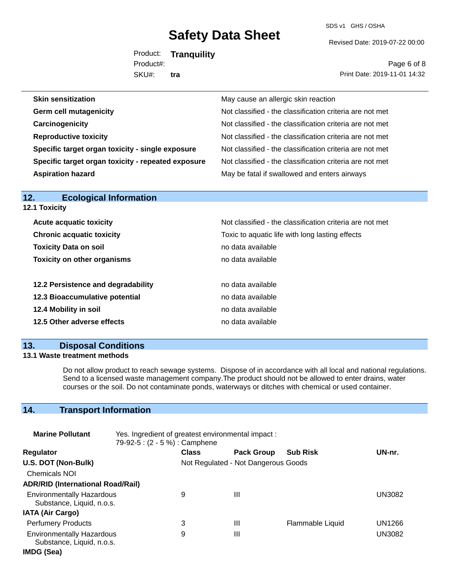SDS v1 GHS / OSHA

Revised Date: 2019-07-22 00:00

Product: **Tranquility**  SKU#: Product#: **tra**

Page 6 of 8 Print Date: 2019-11-01 14:32

| May cause an allergic skin reaction                      |
|----------------------------------------------------------|
| Not classified - the classification criteria are not met |
| Not classified - the classification criteria are not met |
| Not classified - the classification criteria are not met |
| Not classified - the classification criteria are not met |
| Not classified - the classification criteria are not met |
| May be fatal if swallowed and enters airways             |
|                                                          |

| 12.1 Toxicity                      |                                                          |
|------------------------------------|----------------------------------------------------------|
| <b>Acute acquatic toxicity</b>     | Not classified - the classification criteria are not met |
| <b>Chronic acquatic toxicity</b>   | Toxic to aquatic life with long lasting effects          |
| <b>Toxicity Data on soil</b>       | no data available                                        |
| <b>Toxicity on other organisms</b> | no data available                                        |
| 12.2 Persistence and degradability | no data available                                        |
| 12.3 Bioaccumulative potential     | no data available                                        |
| 12.4 Mobility in soil              | no data available                                        |
| 12.5 Other adverse effects         | no data available                                        |

### **13. Disposal Conditions**

**12. Ecological Information** 

#### **13.1 Waste treatment methods**

Do not allow product to reach sewage systems. Dispose of in accordance with all local and national regulations. Send to a licensed waste management company.The product should not be allowed to enter drains, water courses or the soil. Do not contaminate ponds, waterways or ditches with chemical or used container.

## **14. Transport Information**

| <b>Marine Pollutant</b>                                       | Yes. Ingredient of greatest environmental impact:<br>79-92-5 : (2 - 5 %) : Camphene |              |                                     |                  |               |
|---------------------------------------------------------------|-------------------------------------------------------------------------------------|--------------|-------------------------------------|------------------|---------------|
| <b>Regulator</b>                                              |                                                                                     | <b>Class</b> | <b>Pack Group</b>                   | <b>Sub Risk</b>  | UN-nr.        |
| U.S. DOT (Non-Bulk)                                           |                                                                                     |              | Not Regulated - Not Dangerous Goods |                  |               |
| <b>Chemicals NOI</b>                                          |                                                                                     |              |                                     |                  |               |
| <b>ADR/RID (International Road/Rail)</b>                      |                                                                                     |              |                                     |                  |               |
| <b>Environmentally Hazardous</b><br>Substance, Liquid, n.o.s. |                                                                                     | 9            | Ш                                   |                  | UN3082        |
| <b>IATA (Air Cargo)</b>                                       |                                                                                     |              |                                     |                  |               |
| <b>Perfumery Products</b>                                     |                                                                                     | 3            | Ш                                   | Flammable Liquid | UN1266        |
| <b>Environmentally Hazardous</b><br>Substance, Liquid, n.o.s. |                                                                                     | 9            | $\mathbf{III}$                      |                  | <b>UN3082</b> |
| IMDG (Sea)                                                    |                                                                                     |              |                                     |                  |               |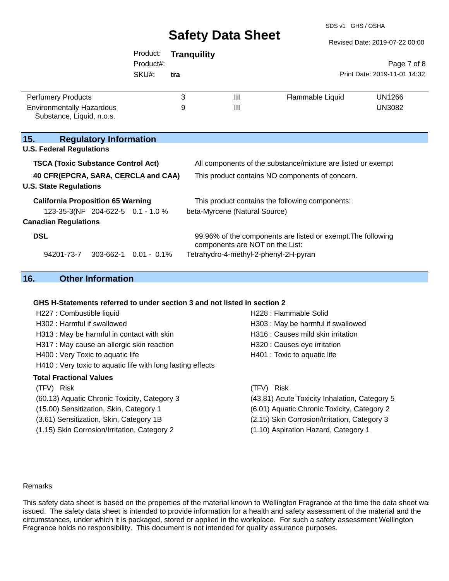SDS v1 GHS / OSHA

| Revised Date: 2019-07-22 00:00 |  |  |  |
|--------------------------------|--|--|--|
|                                |  |  |  |

|                                                                                                                         | Product:<br>Product#:<br>SKU#: | <b>Tranguility</b><br>tra |                                                              |                                                              | Page 7 of 8<br>Print Date: 2019-11-01 14:32 |
|-------------------------------------------------------------------------------------------------------------------------|--------------------------------|---------------------------|--------------------------------------------------------------|--------------------------------------------------------------|---------------------------------------------|
| <b>Perfumery Products</b><br><b>Environmentally Hazardous</b>                                                           |                                | 3<br>9                    | $\mathbf{III}$<br>$\mathbf{III}$                             | Flammable Liquid                                             | <b>UN1266</b><br><b>UN3082</b>              |
| Substance, Liquid, n.o.s.                                                                                               |                                |                           |                                                              |                                                              |                                             |
| 15.<br><b>Regulatory Information</b><br><b>U.S. Federal Regulations</b>                                                 |                                |                           |                                                              |                                                              |                                             |
| <b>TSCA (Toxic Substance Control Act)</b>                                                                               |                                |                           | All components of the substance/mixture are listed or exempt |                                                              |                                             |
| 40 CFR(EPCRA, SARA, CERCLA and CAA)<br>This product contains NO components of concern.<br><b>U.S. State Regulations</b> |                                |                           |                                                              |                                                              |                                             |
| <b>California Proposition 65 Warning</b><br>This product contains the following components:                             |                                |                           |                                                              |                                                              |                                             |
| 123-35-3(NF 204-622-5 0.1 - 1.0 %<br><b>Canadian Regulations</b>                                                        |                                |                           | beta-Myrcene (Natural Source)                                |                                                              |                                             |
| <b>DSL</b>                                                                                                              |                                |                           | components are NOT on the List:                              | 99.96% of the components are listed or exempt. The following |                                             |
| 94201-73-7<br>$303-662-1$ 0.01 - 0.1%                                                                                   |                                |                           |                                                              | Tetrahydro-4-methyl-2-phenyl-2H-pyran                        |                                             |
|                                                                                                                         |                                |                           |                                                              |                                                              |                                             |

## **16. Other Information**

#### **GHS H-Statements referred to under section 3 and not listed in section 2**

| H227 : Combustible liquid                                   | H228 : Flammable Solid                        |
|-------------------------------------------------------------|-----------------------------------------------|
| H302 : Harmful if swallowed                                 | H303 : May be harmful if swallowed            |
| H313 : May be harmful in contact with skin                  | H316 : Causes mild skin irritation            |
| H317 : May cause an allergic skin reaction                  | H320 : Causes eye irritation                  |
| H400 : Very Toxic to aquatic life                           | H401 : Toxic to aquatic life                  |
| H410 : Very toxic to aquatic life with long lasting effects |                                               |
| Total Fractional Values                                     |                                               |
| (TFV) Risk                                                  | (TFV) Risk                                    |
| (60.13) Aquatic Chronic Toxicity, Category 3                | (43.81) Acute Toxicity Inhalation, Category 5 |
| (15.00) Sensitization, Skin, Category 1                     | (6.01) Aquatic Chronic Toxicity, Category 2   |
| (3.61) Sensitization, Skin, Category 1B                     | (2.15) Skin Corrosion/Irritation, Category 3  |
| (1.15) Skin Corrosion/Irritation, Category 2                | (1.10) Aspiration Hazard, Category 1          |
|                                                             |                                               |
|                                                             |                                               |

#### Remarks

This safety data sheet is based on the properties of the material known to Wellington Fragrance at the time the data sheet was issued. The safety data sheet is intended to provide information for a health and safety assessment of the material and the circumstances, under which it is packaged, stored or applied in the workplace. For such a safety assessment Wellington Fragrance holds no responsibility. This document is not intended for quality assurance purposes.